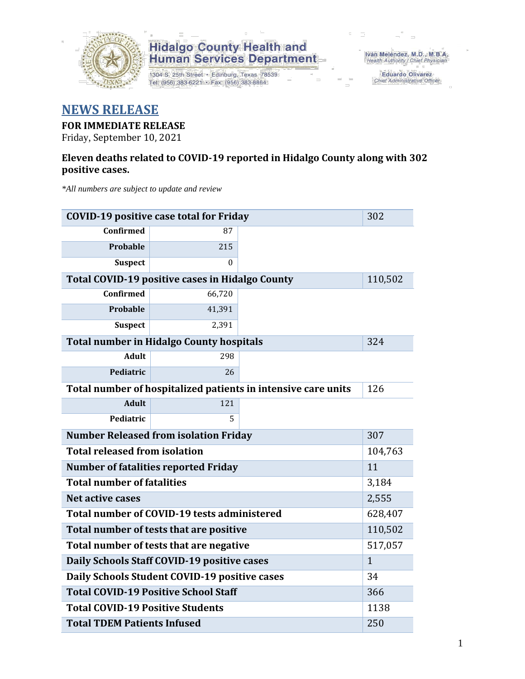

1304 S. 25th Street · Edinburg, Texas 78539 Tel: (956) 383-6221 · Fax: (956) 383-8864

Iván Meléndez, M.D., M.B.A.<br>Health Authority / Chief Physician

Eduardo Olivarez Chief Administrative Officer

#### **NEWS RELEASE**

#### **FOR IMMEDIATE RELEASE**

Friday, September 10, 2021

#### **Eleven deaths related to COVID-19 reported in Hidalgo County along with 302 positive cases.**

*\*All numbers are subject to update and review*

|                                                     | <b>COVID-19 positive case total for Friday</b>  |                                                               | 302     |  |  |  |  |
|-----------------------------------------------------|-------------------------------------------------|---------------------------------------------------------------|---------|--|--|--|--|
| Confirmed                                           | 87                                              |                                                               |         |  |  |  |  |
| Probable                                            | 215                                             |                                                               |         |  |  |  |  |
| <b>Suspect</b>                                      | 0                                               |                                                               |         |  |  |  |  |
|                                                     | Total COVID-19 positive cases in Hidalgo County |                                                               | 110,502 |  |  |  |  |
| <b>Confirmed</b>                                    | 66,720                                          |                                                               |         |  |  |  |  |
| Probable                                            | 41,391                                          |                                                               |         |  |  |  |  |
| <b>Suspect</b>                                      | 2,391                                           |                                                               |         |  |  |  |  |
|                                                     | <b>Total number in Hidalgo County hospitals</b> |                                                               | 324     |  |  |  |  |
| <b>Adult</b>                                        | 298                                             |                                                               |         |  |  |  |  |
| Pediatric                                           | 26                                              |                                                               |         |  |  |  |  |
|                                                     |                                                 | Total number of hospitalized patients in intensive care units | 126     |  |  |  |  |
| <b>Adult</b>                                        | 121                                             |                                                               |         |  |  |  |  |
| Pediatric                                           | 5                                               |                                                               |         |  |  |  |  |
| <b>Number Released from isolation Friday</b><br>307 |                                                 |                                                               |         |  |  |  |  |
| <b>Total released from isolation</b>                |                                                 |                                                               | 104,763 |  |  |  |  |
|                                                     | <b>Number of fatalities reported Friday</b>     |                                                               | 11      |  |  |  |  |
| <b>Total number of fatalities</b>                   |                                                 |                                                               | 3,184   |  |  |  |  |
| Net active cases                                    | 2,555                                           |                                                               |         |  |  |  |  |
| Total number of COVID-19 tests administered         | 628,407                                         |                                                               |         |  |  |  |  |
| Total number of tests that are positive             | 110,502                                         |                                                               |         |  |  |  |  |
| Total number of tests that are negative             | 517,057                                         |                                                               |         |  |  |  |  |
| Daily Schools Staff COVID-19 positive cases         | $\mathbf{1}$                                    |                                                               |         |  |  |  |  |
| Daily Schools Student COVID-19 positive cases       | 34                                              |                                                               |         |  |  |  |  |
| <b>Total COVID-19 Positive School Staff</b>         | 366                                             |                                                               |         |  |  |  |  |
| <b>Total COVID-19 Positive Students</b>             |                                                 |                                                               | 1138    |  |  |  |  |
| <b>Total TDEM Patients Infused</b>                  | 250                                             |                                                               |         |  |  |  |  |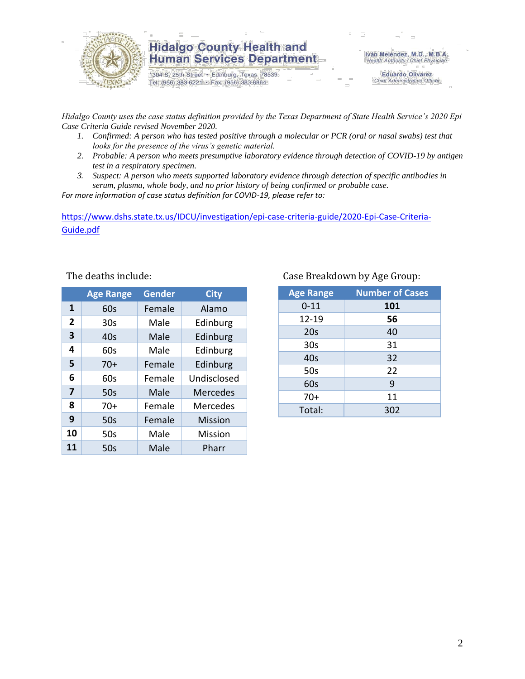

1304 S. 25th Street · Edinburg, Texas 78539 Tel: (956) 383-6221 · Fax: (956) 383-8864

Iván Meléndez, M.D., M.B.A. Health Authority / Chief Physician

> **Eduardo Olivarez** Chief Administrative Officer

*Hidalgo County uses the case status definition provided by the Texas Department of State Health Service's 2020 Epi Case Criteria Guide revised November 2020.*

- *1. Confirmed: A person who has tested positive through a molecular or PCR (oral or nasal swabs) test that looks for the presence of the virus's genetic material.*
- *2. Probable: A person who meets presumptive laboratory evidence through detection of COVID-19 by antigen test in a respiratory specimen.*
- *3. Suspect: A person who meets supported laboratory evidence through detection of specific antibodies in serum, plasma, whole body, and no prior history of being confirmed or probable case.*

*For more information of case status definition for COVID-19, please refer to:*

[https://www.dshs.state.tx.us/IDCU/investigation/epi-case-criteria-guide/2020-Epi-Case-Criteria-](https://www.dshs.state.tx.us/IDCU/investigation/epi-case-criteria-guide/2020-Epi-Case-Criteria-Guide.pdf)[Guide.pdf](https://www.dshs.state.tx.us/IDCU/investigation/epi-case-criteria-guide/2020-Epi-Case-Criteria-Guide.pdf)

|                | <b>Age Range</b> | <b>Gender</b> | <b>City</b>     |
|----------------|------------------|---------------|-----------------|
| 1              | 60s              | Female        | Alamo           |
| $\overline{2}$ | 30 <sub>s</sub>  | Male          | Edinburg        |
| 3              | 40s              | Male          | Edinburg        |
| 4              | 60s              | Male          | Edinburg        |
| 5              | $70+$            | Female        | Edinburg        |
| 6              | 60s              | Female        | Undisclosed     |
| 7              | 50s              | Male          | <b>Mercedes</b> |
| 8              | $70+$            | Female        | Mercedes        |
| 9              | 50s              | Female        | <b>Mission</b>  |
| 10             | 50s              | Male          | Mission         |
| 11             | 50s              | Male          | Pharr           |

#### The deaths include: Case Breakdown by Age Group:

| <b>Age Range</b> | <b>Number of Cases</b> |
|------------------|------------------------|
| $0 - 11$         | 101                    |
| $12 - 19$        | 56                     |
| 20s              | 40                     |
| 30 <sub>s</sub>  | 31                     |
| 40s              | 32                     |
| 50s              | 22                     |
| 60s              | 9                      |
| $70+$            | 11                     |
| Total:           | 302                    |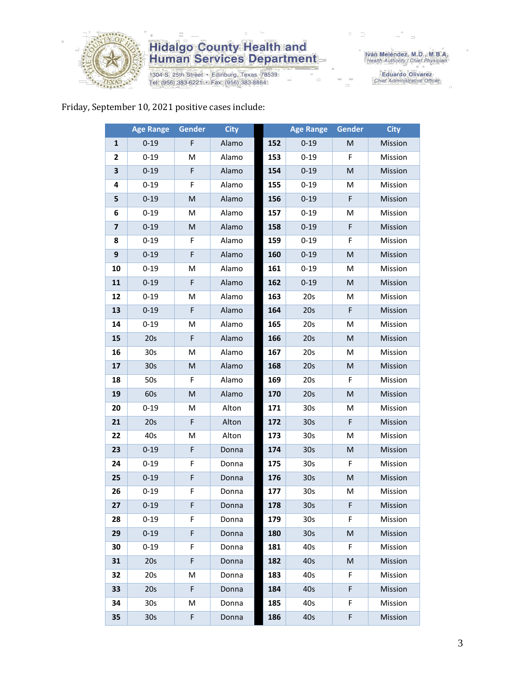

1304 S. 25th Street · Edinburg, Texas 78539 Tel: (956) 383-6221 · Fax: (956) 383-8864

Iván Meléndez, M.D., M.B.A.<br>Health Authority / Chief Physician

Eduardo Olivarez<br>Chief Administrative Officer

#### Friday, September 10, 2021 positive cases include:

|                         | <b>Age Range</b> | Gender      | <b>City</b> |     | <b>Age Range</b> | Gender | <b>City</b> |
|-------------------------|------------------|-------------|-------------|-----|------------------|--------|-------------|
| 1                       | $0 - 19$         | F           | Alamo       | 152 | $0 - 19$         | M      | Mission     |
| $\mathbf{2}$            | $0 - 19$         | M           | Alamo       | 153 | $0 - 19$         | F      | Mission     |
| 3                       | $0 - 19$         | F           | Alamo       | 154 | $0 - 19$         | M      | Mission     |
| 4                       | $0 - 19$         | F           | Alamo       | 155 | $0 - 19$         | M      | Mission     |
| 5                       | $0 - 19$         | M           | Alamo       | 156 | $0 - 19$         | F      | Mission     |
| 6                       | $0 - 19$         | M           | Alamo       | 157 | $0 - 19$         | М      | Mission     |
| $\overline{\mathbf{z}}$ | $0 - 19$         | M           | Alamo       | 158 | $0 - 19$         | F      | Mission     |
| 8                       | $0 - 19$         | F           | Alamo       | 159 | $0 - 19$         | F      | Mission     |
| 9                       | $0 - 19$         | F           | Alamo       | 160 | $0 - 19$         | M      | Mission     |
| 10                      | $0 - 19$         | M           | Alamo       | 161 | $0 - 19$         | M      | Mission     |
| 11                      | $0 - 19$         | F           | Alamo       | 162 | $0 - 19$         | M      | Mission     |
| 12                      | $0 - 19$         | M           | Alamo       | 163 | 20s              | M      | Mission     |
| 13                      | $0 - 19$         | F           | Alamo       | 164 | 20s              | F      | Mission     |
| 14                      | $0 - 19$         | M           | Alamo       | 165 | 20s              | M      | Mission     |
| 15                      | 20s              | F           | Alamo       | 166 | 20s              | M      | Mission     |
| 16                      | 30s              | M           | Alamo       | 167 | 20s              | M      | Mission     |
| 17                      | 30 <sub>s</sub>  | M           | Alamo       | 168 | 20s              | M      | Mission     |
| 18                      | 50s              | F           | Alamo       | 169 | 20s              | F      | Mission     |
| 19                      | 60s              | M           | Alamo       | 170 | 20s              | M      | Mission     |
| 20                      | $0 - 19$         | M           | Alton       | 171 | 30 <sub>s</sub>  | М      | Mission     |
| 21                      | 20s              | $\mathsf F$ | Alton       | 172 | 30 <sub>s</sub>  | F      | Mission     |
| 22                      | 40s              | M           | Alton       | 173 | 30 <sub>s</sub>  | M      | Mission     |
| 23                      | $0 - 19$         | F           | Donna       | 174 | 30 <sub>s</sub>  | M      | Mission     |
| 24                      | $0 - 19$         | F           | Donna       | 175 | 30 <sub>s</sub>  | F      | Mission     |
| 25                      | $0 - 19$         | F           | Donna       | 176 | 30 <sub>s</sub>  | M      | Mission     |
| 26                      | $0 - 19$         | F           | Donna       | 177 | 30 <sub>s</sub>  | M      | Mission     |
| 27                      | $0 - 19$         | F.          | Donna       | 178 | 30s              | F.     | Mission     |
| 28                      | $0 - 19$         | F           | Donna       | 179 | 30s              | F      | Mission     |
| 29                      | $0 - 19$         | F           | Donna       | 180 | 30 <sub>s</sub>  | M      | Mission     |
| 30                      | $0 - 19$         | F           | Donna       | 181 | 40s              | F      | Mission     |
| 31                      | 20s              | F           | Donna       | 182 | 40s              | M      | Mission     |
| 32                      | 20s              | м           | Donna       | 183 | 40s              | F      | Mission     |
| 33                      | 20s              | F           | Donna       | 184 | 40s              | F      | Mission     |
| 34                      | 30s              | M           | Donna       | 185 | 40s              | F      | Mission     |
| 35                      | 30 <sub>s</sub>  | F           | Donna       | 186 | 40s              | F      | Mission     |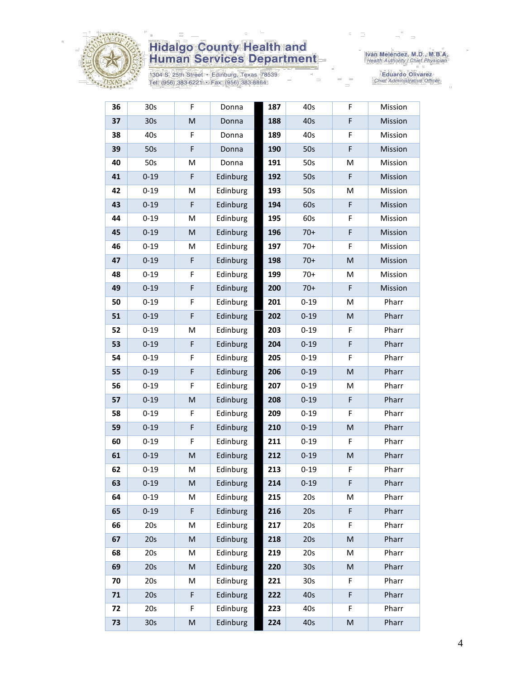

1304 S. 25th Street • Edinburg, Texas 78539<br>Tel: (956) 383-6221 • Fax: (956) 383-8864

Iván Meléndez, M.D., M.B.A.<br>Health Authority / Chief Physician

Eduardo Olivarez<br>Chief Administrative Officer

| 36 | 30s             | F         | Donna    | 187 | 40s             | F | Mission |
|----|-----------------|-----------|----------|-----|-----------------|---|---------|
| 37 | 30s             | ${\sf M}$ | Donna    | 188 | 40s             | F | Mission |
| 38 | 40s             | F         | Donna    | 189 | 40s             | F | Mission |
| 39 | 50s             | F         | Donna    | 190 | 50s             | F | Mission |
| 40 | 50s             | M         | Donna    | 191 | 50s             | Μ | Mission |
| 41 | $0 - 19$        | F         | Edinburg | 192 | 50s             | F | Mission |
| 42 | $0 - 19$        | M         | Edinburg | 193 | 50s             | M | Mission |
| 43 | $0 - 19$        | F         | Edinburg | 194 | 60s             | F | Mission |
| 44 | $0 - 19$        | M         | Edinburg | 195 | 60s             | F | Mission |
| 45 | $0 - 19$        | ${\sf M}$ | Edinburg | 196 | $70+$           | F | Mission |
| 46 | $0 - 19$        | M         | Edinburg | 197 | $70+$           | F | Mission |
| 47 | $0 - 19$        | F         | Edinburg | 198 | $70+$           | M | Mission |
| 48 | $0 - 19$        | F         | Edinburg | 199 | $70+$           | М | Mission |
| 49 | $0 - 19$        | F         | Edinburg | 200 | $70+$           | F | Mission |
| 50 | $0 - 19$        | F         | Edinburg | 201 | $0 - 19$        | M | Pharr   |
| 51 | $0 - 19$        | F         | Edinburg | 202 | $0 - 19$        | M | Pharr   |
| 52 | $0 - 19$        | M         | Edinburg | 203 | $0 - 19$        | F | Pharr   |
| 53 | $0 - 19$        | F         | Edinburg | 204 | $0 - 19$        | F | Pharr   |
| 54 | $0 - 19$        | F         | Edinburg | 205 | $0 - 19$        | F | Pharr   |
| 55 | $0 - 19$        | F         | Edinburg | 206 | $0 - 19$        | M | Pharr   |
| 56 | $0 - 19$        | F         | Edinburg | 207 | $0 - 19$        | M | Pharr   |
| 57 | $0 - 19$        | ${\sf M}$ | Edinburg | 208 | $0 - 19$        | F | Pharr   |
| 58 | $0 - 19$        | F         | Edinburg | 209 | $0 - 19$        | F | Pharr   |
| 59 | $0 - 19$        | F         | Edinburg | 210 | $0 - 19$        | M | Pharr   |
| 60 | $0 - 19$        | F         | Edinburg | 211 | $0 - 19$        | F | Pharr   |
| 61 | $0 - 19$        | M         | Edinburg | 212 | $0 - 19$        | M | Pharr   |
| 62 | $0 - 19$        | M         | Edinburg | 213 | $0 - 19$        | F | Pharr   |
| 63 | $0 - 19$        | M         | Edinburg | 214 | $0 - 19$        | F | Pharr   |
| 64 | $0 - 19$        | M         | Edinburg | 215 | 20s             | M | Pharr   |
| 65 | $0 - 19$        | F         | Edinburg | 216 | 20s             | F | Pharr   |
| 66 | 20s             | M         | Edinburg | 217 | 20s             | F | Pharr   |
| 67 | 20s             | M         | Edinburg | 218 | 20s             | M | Pharr   |
| 68 | 20s             | M         | Edinburg | 219 | 20s             | M | Pharr   |
| 69 | 20s             | ${\sf M}$ | Edinburg | 220 | 30 <sub>s</sub> | M | Pharr   |
| 70 | 20s             | M         | Edinburg | 221 | 30 <sub>s</sub> | F | Pharr   |
| 71 | 20s             | F         | Edinburg | 222 | 40s             | F | Pharr   |
| 72 | 20s             | F         | Edinburg | 223 | 40s             | F | Pharr   |
| 73 | 30 <sub>s</sub> | ${\sf M}$ | Edinburg | 224 | 40s             | M | Pharr   |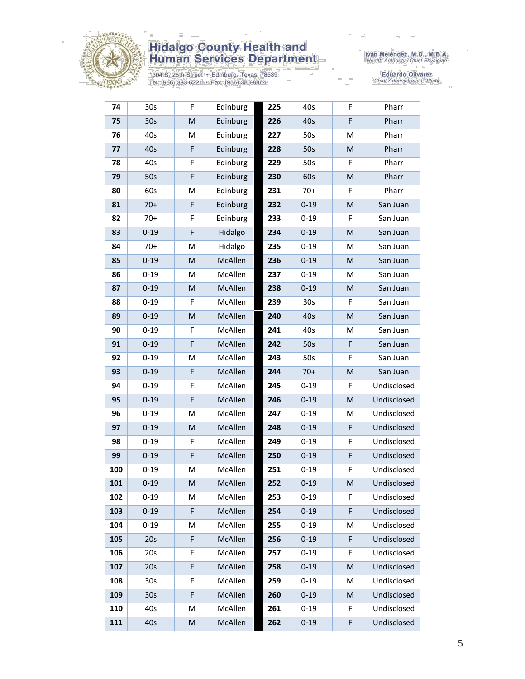

1304 S. 25th Street • Edinburg, Texas 78539<br>Tel: (956) 383-6221 • Fax: (956) 383-8864

Iván Meléndez, M.D., M.B.A.<br>Health Authority / Chief Physician

Eduardo Olivarez<br>Chief Administrative Officer

| 74  | 30 <sub>s</sub> | F         | Edinburg | 225 | 40s             | F | Pharr       |
|-----|-----------------|-----------|----------|-----|-----------------|---|-------------|
| 75  | 30 <sub>s</sub> | M         | Edinburg | 226 | 40s             | F | Pharr       |
| 76  | 40s             | M         | Edinburg | 227 | 50s             | M | Pharr       |
| 77  | 40s             | F         | Edinburg | 228 | 50s             | M | Pharr       |
| 78  | 40s             | F         | Edinburg | 229 | 50s             | F | Pharr       |
| 79  | 50s             | F         | Edinburg | 230 | 60s             | M | Pharr       |
| 80  | 60s             | M         | Edinburg | 231 | 70+             | F | Pharr       |
| 81  | $70+$           | F         | Edinburg | 232 | $0 - 19$        | M | San Juan    |
| 82  | $70+$           | F         | Edinburg | 233 | $0 - 19$        | F | San Juan    |
| 83  | $0 - 19$        | F         | Hidalgo  | 234 | $0 - 19$        | M | San Juan    |
| 84  | $70+$           | M         | Hidalgo  | 235 | $0 - 19$        | M | San Juan    |
| 85  | $0 - 19$        | M         | McAllen  | 236 | $0 - 19$        | M | San Juan    |
| 86  | $0 - 19$        | M         | McAllen  | 237 | $0 - 19$        | M | San Juan    |
| 87  | $0 - 19$        | M         | McAllen  | 238 | $0 - 19$        | M | San Juan    |
| 88  | $0 - 19$        | F         | McAllen  | 239 | 30 <sub>s</sub> | F | San Juan    |
| 89  | $0 - 19$        | M         | McAllen  | 240 | 40s             | M | San Juan    |
| 90  | $0 - 19$        | F         | McAllen  | 241 | 40s             | M | San Juan    |
| 91  | $0 - 19$        | F         | McAllen  | 242 | 50s             | F | San Juan    |
| 92  | $0 - 19$        | M         | McAllen  | 243 | 50s             | F | San Juan    |
| 93  | $0 - 19$        | F         | McAllen  | 244 | $70+$           | M | San Juan    |
| 94  | $0 - 19$        | F         | McAllen  | 245 | $0 - 19$        | F | Undisclosed |
| 95  | $0 - 19$        | F         | McAllen  | 246 | $0 - 19$        | M | Undisclosed |
| 96  | $0 - 19$        | M         | McAllen  | 247 | $0 - 19$        | M | Undisclosed |
| 97  | $0 - 19$        | M         | McAllen  | 248 | $0 - 19$        | F | Undisclosed |
| 98  | $0 - 19$        | F         | McAllen  | 249 | $0 - 19$        | F | Undisclosed |
| 99  | $0 - 19$        | F         | McAllen  | 250 | $0 - 19$        | F | Undisclosed |
| 100 | $0 - 19$        | M         | McAllen  | 251 | $0 - 19$        | F | Undisclosed |
| 101 | $0 - 19$        | M         | McAllen  | 252 | $0 - 19$        | M | Undisclosed |
| 102 | $0 - 19$        | M         | McAllen  | 253 | $0 - 19$        | F | Undisclosed |
| 103 | $0 - 19$        | F         | McAllen  | 254 | $0 - 19$        | F | Undisclosed |
| 104 | $0 - 19$        | M         | McAllen  | 255 | $0 - 19$        | M | Undisclosed |
| 105 | 20s             | F         | McAllen  | 256 | $0 - 19$        | F | Undisclosed |
| 106 | 20s             | F         | McAllen  | 257 | $0 - 19$        | F | Undisclosed |
| 107 | 20s             | F         | McAllen  | 258 | $0 - 19$        | M | Undisclosed |
| 108 | 30 <sub>s</sub> | F         | McAllen  | 259 | $0 - 19$        | M | Undisclosed |
| 109 | 30 <sub>s</sub> | F         | McAllen  | 260 | $0 - 19$        | M | Undisclosed |
| 110 | 40s             | M         | McAllen  | 261 | $0 - 19$        | F | Undisclosed |
| 111 | 40s             | ${\sf M}$ | McAllen  | 262 | $0 - 19$        | F | Undisclosed |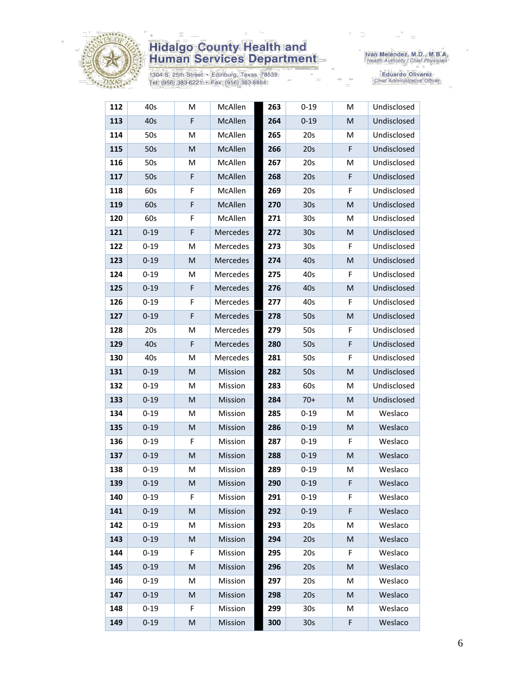

1304 S. 25th Street · Edinburg, Texas 78539 Tel: (956) 383-6221 • Fax: (956) 383-8864

Iván Meléndez, M.D., M.B.A.<br>Health Authority / Chief Physician

Eduardo Olivarez<br>Chief Administrative Officer

| 112 | 40s      | M           | McAllen  | 263 | $0 - 19$        | М           | Undisclosed |
|-----|----------|-------------|----------|-----|-----------------|-------------|-------------|
| 113 | 40s      | F           | McAllen  | 264 | $0 - 19$        | M           | Undisclosed |
| 114 | 50s      | M           | McAllen  | 265 | 20s             | M           | Undisclosed |
| 115 | 50s      | M           | McAllen  | 266 | 20s             | F           | Undisclosed |
| 116 | 50s      | M           | McAllen  | 267 | 20s             | M           | Undisclosed |
| 117 | 50s      | $\mathsf F$ | McAllen  | 268 | 20s             | $\mathsf F$ | Undisclosed |
| 118 | 60s      | F           | McAllen  | 269 | 20s             | F           | Undisclosed |
| 119 | 60s      | F           | McAllen  | 270 | 30 <sub>s</sub> | M           | Undisclosed |
| 120 | 60s      | F           | McAllen  | 271 | 30 <sub>s</sub> | M           | Undisclosed |
| 121 | $0 - 19$ | F           | Mercedes | 272 | 30 <sub>s</sub> | M           | Undisclosed |
| 122 | $0 - 19$ | M           | Mercedes | 273 | 30 <sub>s</sub> | F           | Undisclosed |
| 123 | $0 - 19$ | M           | Mercedes | 274 | 40s             | M           | Undisclosed |
| 124 | $0 - 19$ | M           | Mercedes | 275 | 40s             | F           | Undisclosed |
| 125 | $0 - 19$ | F           | Mercedes | 276 | 40s             | M           | Undisclosed |
| 126 | $0 - 19$ | F           | Mercedes | 277 | 40s             | F           | Undisclosed |
| 127 | $0 - 19$ | F           | Mercedes | 278 | 50s             | M           | Undisclosed |
| 128 | 20s      | M           | Mercedes | 279 | 50s             | F           | Undisclosed |
| 129 | 40s      | F           | Mercedes | 280 | 50s             | F           | Undisclosed |
| 130 | 40s      | M           | Mercedes | 281 | 50s             | F           | Undisclosed |
| 131 | $0 - 19$ | M           | Mission  | 282 | 50s             | M           | Undisclosed |
| 132 | $0 - 19$ | M           | Mission  | 283 | 60s             | M           | Undisclosed |
| 133 | $0 - 19$ | M           | Mission  | 284 | $70+$           | M           | Undisclosed |
| 134 | $0 - 19$ | M           | Mission  | 285 | $0 - 19$        | М           | Weslaco     |
| 135 | $0 - 19$ | M           | Mission  | 286 | $0 - 19$        | ${\sf M}$   | Weslaco     |
| 136 | $0 - 19$ | F           | Mission  | 287 | $0 - 19$        | F           | Weslaco     |
| 137 | $0 - 19$ | M           | Mission  | 288 | $0 - 19$        | M           | Weslaco     |
| 138 | $0 - 19$ | M           | Mission  | 289 | $0 - 19$        | M           | Weslaco     |
| 139 | $0 - 19$ | M           | Mission  | 290 | $0 - 19$        | F           | Weslaco     |
| 140 | $0 - 19$ | F.          | Mission  | 291 | $0 - 19$        | F.          | Weslaco     |
| 141 | $0 - 19$ | M           | Mission  | 292 | $0 - 19$        | F           | Weslaco     |
| 142 | $0 - 19$ | M           | Mission  | 293 | 20s             | M           | Weslaco     |
| 143 | $0 - 19$ | M           | Mission  | 294 | 20s             | M           | Weslaco     |
| 144 | $0 - 19$ | F           | Mission  | 295 | 20s             | F           | Weslaco     |
| 145 | $0 - 19$ | M           | Mission  | 296 | 20s             | M           | Weslaco     |
| 146 | $0 - 19$ | М           | Mission  | 297 | 20s             | M           | Weslaco     |
| 147 | $0 - 19$ | M           | Mission  | 298 | 20s             | M           | Weslaco     |
| 148 | $0 - 19$ | F           | Mission  | 299 | 30 <sub>s</sub> | M           | Weslaco     |
| 149 | $0 - 19$ | M           | Mission  | 300 | 30s             | F           | Weslaco     |